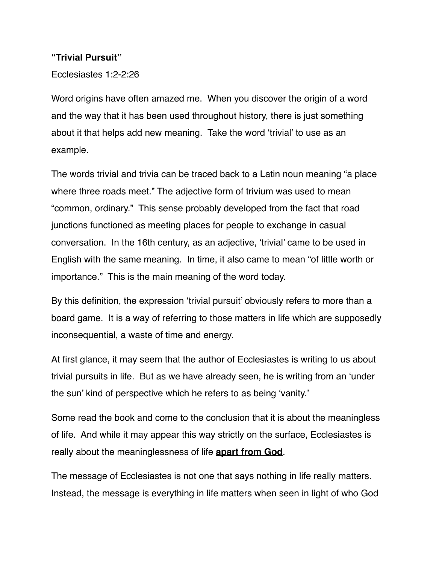#### **"Trivial Pursuit"**

Ecclesiastes 1:2-2:26

Word origins have often amazed me. When you discover the origin of a word and the way that it has been used throughout history, there is just something about it that helps add new meaning. Take the word 'trivial' to use as an example.

The words trivial and trivia can be traced back to a Latin noun meaning "a place where three roads meet." The adjective form of trivium was used to mean "common, ordinary." This sense probably developed from the fact that road junctions functioned as meeting places for people to exchange in casual conversation. In the 16th century, as an adjective, 'trivial' came to be used in English with the same meaning. In time, it also came to mean "of little worth or importance." This is the main meaning of the word today.

By this definition, the expression 'trivial pursuit' obviously refers to more than a board game. It is a way of referring to those matters in life which are supposedly inconsequential, a waste of time and energy.

At first glance, it may seem that the author of Ecclesiastes is writing to us about trivial pursuits in life. But as we have already seen, he is writing from an 'under the sun' kind of perspective which he refers to as being 'vanity.'

Some read the book and come to the conclusion that it is about the meaningless of life. And while it may appear this way strictly on the surface, Ecclesiastes is really about the meaninglessness of life **apart from God**.

The message of Ecclesiastes is not one that says nothing in life really matters. Instead, the message is everything in life matters when seen in light of who God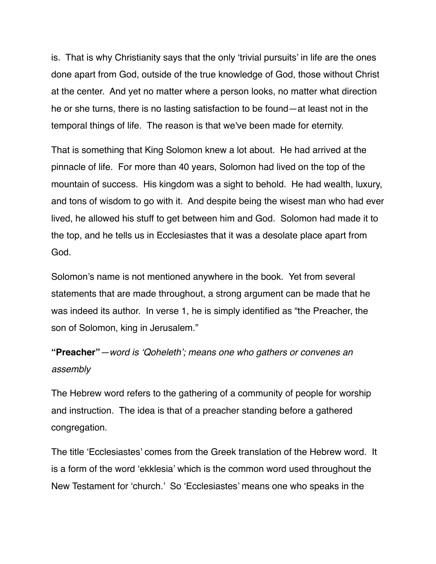is. That is why Christianity says that the only 'trivial pursuits' in life are the ones done apart from God, outside of the true knowledge of God, those without Christ at the center. And yet no matter where a person looks, no matter what direction he or she turns, there is no lasting satisfaction to be found—at least not in the temporal things of life. The reason is that we've been made for eternity.

That is something that King Solomon knew a lot about. He had arrived at the pinnacle of life. For more than 40 years, Solomon had lived on the top of the mountain of success. His kingdom was a sight to behold. He had wealth, luxury, and tons of wisdom to go with it. And despite being the wisest man who had ever lived, he allowed his stuff to get between him and God. Solomon had made it to the top, and he tells us in Ecclesiastes that it was a desolate place apart from God.

Solomon's name is not mentioned anywhere in the book. Yet from several statements that are made throughout, a strong argument can be made that he was indeed its author. In verse 1, he is simply identified as "the Preacher, the son of Solomon, king in Jerusalem."

## **"Preacher"***—word is 'Qoheleth'; means one who gathers or convenes an assembly*

The Hebrew word refers to the gathering of a community of people for worship and instruction. The idea is that of a preacher standing before a gathered congregation.

The title 'Ecclesiastes' comes from the Greek translation of the Hebrew word. It is a form of the word 'ekklesia' which is the common word used throughout the New Testament for 'church.' So 'Ecclesiastes' means one who speaks in the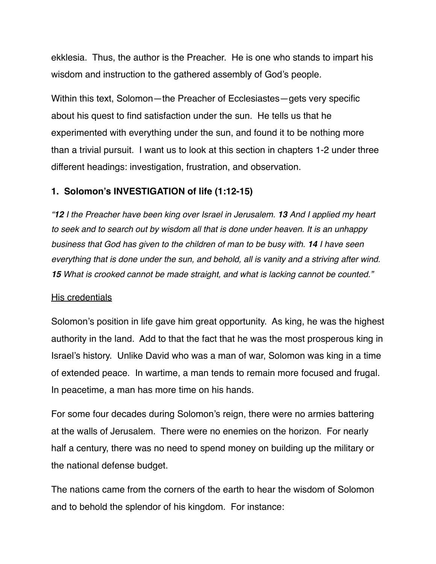ekklesia. Thus, the author is the Preacher. He is one who stands to impart his wisdom and instruction to the gathered assembly of God's people.

Within this text, Solomon—the Preacher of Ecclesiastes—gets very specific about his quest to find satisfaction under the sun. He tells us that he experimented with everything under the sun, and found it to be nothing more than a trivial pursuit. I want us to look at this section in chapters 1-2 under three different headings: investigation, frustration, and observation.

## **1. Solomon's INVESTIGATION of life (1:12-15)**

*"12 I the Preacher have been king over Israel in Jerusalem. 13 And I applied my heart to seek and to search out by wisdom all that is done under heaven. It is an unhappy business that God has given to the children of man to be busy with. 14 I have seen everything that is done under the sun, and behold, all is vanity and a striving after wind. 15 What is crooked cannot be made straight, and what is lacking cannot be counted."*

## His credentials

Solomon's position in life gave him great opportunity. As king, he was the highest authority in the land. Add to that the fact that he was the most prosperous king in Israel's history. Unlike David who was a man of war, Solomon was king in a time of extended peace. In wartime, a man tends to remain more focused and frugal. In peacetime, a man has more time on his hands.

For some four decades during Solomon's reign, there were no armies battering at the walls of Jerusalem. There were no enemies on the horizon. For nearly half a century, there was no need to spend money on building up the military or the national defense budget.

The nations came from the corners of the earth to hear the wisdom of Solomon and to behold the splendor of his kingdom. For instance: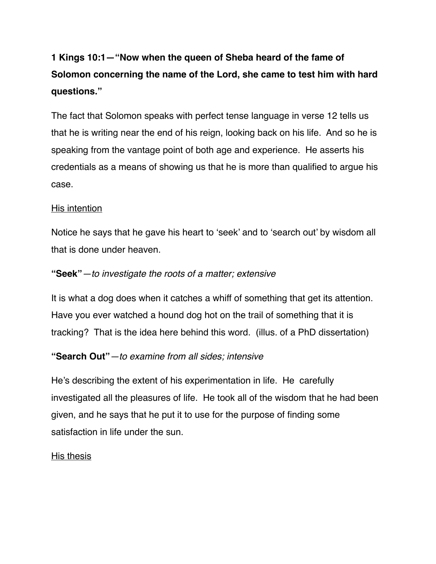# **1 Kings 10:1—"Now when the queen of Sheba heard of the fame of Solomon concerning the name of the Lord, she came to test him with hard questions."**

The fact that Solomon speaks with perfect tense language in verse 12 tells us that he is writing near the end of his reign, looking back on his life. And so he is speaking from the vantage point of both age and experience. He asserts his credentials as a means of showing us that he is more than qualified to argue his case.

## His intention

Notice he says that he gave his heart to 'seek' and to 'search out' by wisdom all that is done under heaven.

## **"Seek"***—to investigate the roots of a matter; extensive*

It is what a dog does when it catches a whiff of something that get its attention. Have you ever watched a hound dog hot on the trail of something that it is tracking? That is the idea here behind this word. (illus. of a PhD dissertation)

## **"Search Out"***—to examine from all sides; intensive*

He's describing the extent of his experimentation in life. He carefully investigated all the pleasures of life. He took all of the wisdom that he had been given, and he says that he put it to use for the purpose of finding some satisfaction in life under the sun.

## His thesis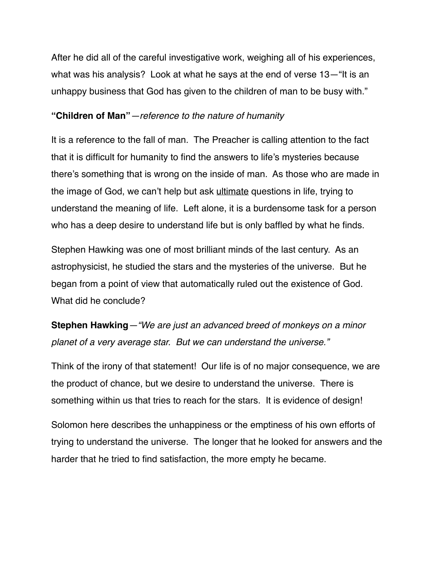After he did all of the careful investigative work, weighing all of his experiences, what was his analysis? Look at what he says at the end of verse 13—"It is an unhappy business that God has given to the children of man to be busy with."

#### **"Children of Man"***—reference to the nature of humanity*

It is a reference to the fall of man. The Preacher is calling attention to the fact that it is difficult for humanity to find the answers to life's mysteries because there's something that is wrong on the inside of man. As those who are made in the image of God, we can't help but ask ultimate questions in life, trying to understand the meaning of life. Left alone, it is a burdensome task for a person who has a deep desire to understand life but is only baffled by what he finds.

Stephen Hawking was one of most brilliant minds of the last century. As an astrophysicist, he studied the stars and the mysteries of the universe. But he began from a point of view that automatically ruled out the existence of God. What did he conclude?

**Stephen Hawking***—"We are just an advanced breed of monkeys on a minor planet of a very average star. But we can understand the universe."*

Think of the irony of that statement! Our life is of no major consequence, we are the product of chance, but we desire to understand the universe. There is something within us that tries to reach for the stars. It is evidence of design!

Solomon here describes the unhappiness or the emptiness of his own efforts of trying to understand the universe. The longer that he looked for answers and the harder that he tried to find satisfaction, the more empty he became.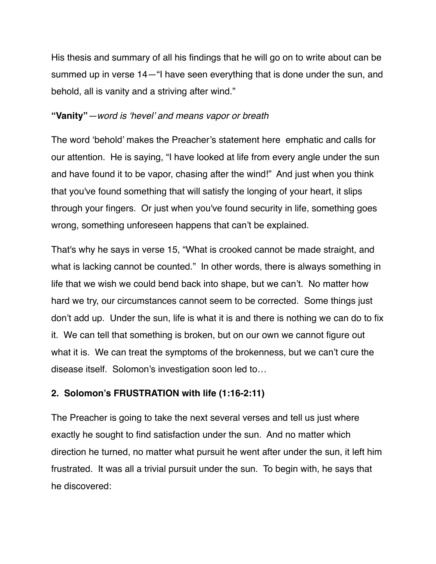His thesis and summary of all his findings that he will go on to write about can be summed up in verse 14—"I have seen everything that is done under the sun, and behold, all is vanity and a striving after wind."

#### **"Vanity"***—word is 'hevel' and means vapor or breath*

The word 'behold' makes the Preacher's statement here emphatic and calls for our attention. He is saying, "I have looked at life from every angle under the sun and have found it to be vapor, chasing after the wind!" And just when you think that you've found something that will satisfy the longing of your heart, it slips through your fingers. Or just when you've found security in life, something goes wrong, something unforeseen happens that can't be explained.

That's why he says in verse 15, "What is crooked cannot be made straight, and what is lacking cannot be counted." In other words, there is always something in life that we wish we could bend back into shape, but we can't. No matter how hard we try, our circumstances cannot seem to be corrected. Some things just don't add up. Under the sun, life is what it is and there is nothing we can do to fix it. We can tell that something is broken, but on our own we cannot figure out what it is. We can treat the symptoms of the brokenness, but we can't cure the disease itself. Solomon's investigation soon led to…

#### **2. Solomon's FRUSTRATION with life (1:16-2:11)**

The Preacher is going to take the next several verses and tell us just where exactly he sought to find satisfaction under the sun. And no matter which direction he turned, no matter what pursuit he went after under the sun, it left him frustrated. It was all a trivial pursuit under the sun. To begin with, he says that he discovered: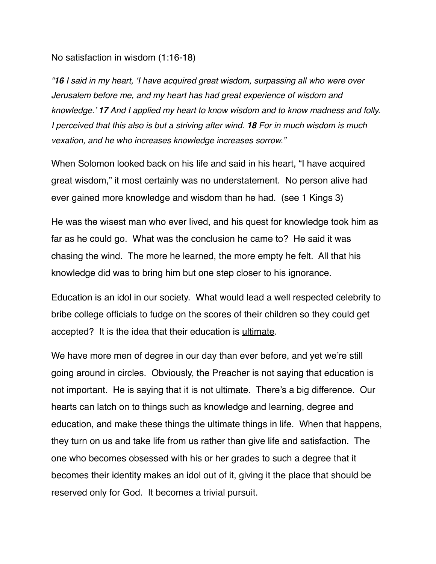#### No satisfaction in wisdom (1:16-18)

*"16 I said in my heart, 'I have acquired great wisdom, surpassing all who were over Jerusalem before me, and my heart has had great experience of wisdom and knowledge.' 17 And I applied my heart to know wisdom and to know madness and folly. I perceived that this also is but a striving after wind. 18 For in much wisdom is much vexation, and he who increases knowledge increases sorrow."*

When Solomon looked back on his life and said in his heart, "I have acquired great wisdom," it most certainly was no understatement. No person alive had ever gained more knowledge and wisdom than he had. (see 1 Kings 3)

He was the wisest man who ever lived, and his quest for knowledge took him as far as he could go. What was the conclusion he came to? He said it was chasing the wind. The more he learned, the more empty he felt. All that his knowledge did was to bring him but one step closer to his ignorance.

Education is an idol in our society. What would lead a well respected celebrity to bribe college officials to fudge on the scores of their children so they could get accepted? It is the idea that their education is ultimate.

We have more men of degree in our day than ever before, and yet we're still going around in circles. Obviously, the Preacher is not saying that education is not important. He is saying that it is not ultimate. There's a big difference. Our hearts can latch on to things such as knowledge and learning, degree and education, and make these things the ultimate things in life. When that happens, they turn on us and take life from us rather than give life and satisfaction. The one who becomes obsessed with his or her grades to such a degree that it becomes their identity makes an idol out of it, giving it the place that should be reserved only for God. It becomes a trivial pursuit.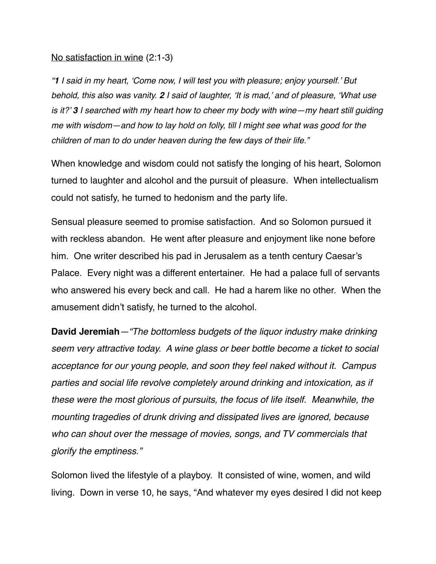#### No satisfaction in wine (2:1-3)

*"1 I said in my heart, 'Come now, I will test you with pleasure; enjoy yourself.' But behold, this also was vanity. 2 I said of laughter, 'It is mad,' and of pleasure, 'What use is it?' 3 I searched with my heart how to cheer my body with wine—my heart still guiding me with wisdom—and how to lay hold on folly, till I might see what was good for the children of man to do under heaven during the few days of their life."*

When knowledge and wisdom could not satisfy the longing of his heart, Solomon turned to laughter and alcohol and the pursuit of pleasure. When intellectualism could not satisfy, he turned to hedonism and the party life.

Sensual pleasure seemed to promise satisfaction. And so Solomon pursued it with reckless abandon. He went after pleasure and enjoyment like none before him. One writer described his pad in Jerusalem as a tenth century Caesar's Palace. Every night was a different entertainer. He had a palace full of servants who answered his every beck and call. He had a harem like no other. When the amusement didn't satisfy, he turned to the alcohol.

**David Jeremiah***—"The bottomless budgets of the liquor industry make drinking seem very attractive today. A wine glass or beer bottle become a ticket to social acceptance for our young people, and soon they feel naked without it. Campus parties and social life revolve completely around drinking and intoxication, as if these were the most glorious of pursuits, the focus of life itself. Meanwhile, the mounting tragedies of drunk driving and dissipated lives are ignored, because who can shout over the message of movies, songs, and TV commercials that glorify the emptiness."*

Solomon lived the lifestyle of a playboy. It consisted of wine, women, and wild living. Down in verse 10, he says, "And whatever my eyes desired I did not keep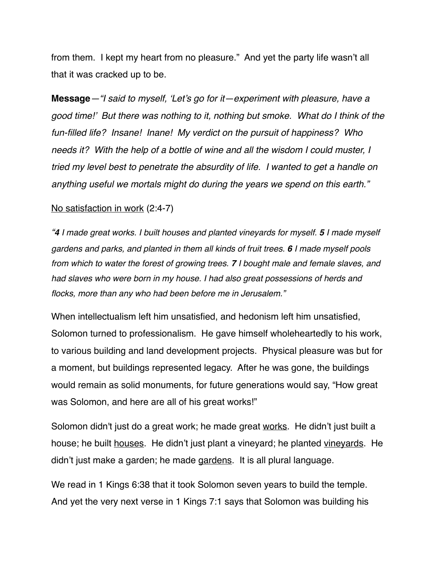from them. I kept my heart from no pleasure." And yet the party life wasn't all that it was cracked up to be.

**Message***—"I said to myself, 'Let's go for it—experiment with pleasure, have a good time!' But there was nothing to it, nothing but smoke. What do I think of the fun-filled life? Insane! Inane! My verdict on the pursuit of happiness? Who needs it? With the help of a bottle of wine and all the wisdom I could muster, I tried my level best to penetrate the absurdity of life. I wanted to get a handle on anything useful we mortals might do during the years we spend on this earth."*

#### No satisfaction in work (2:4-7)

*"4 I made great works. I built houses and planted vineyards for myself. 5 I made myself gardens and parks, and planted in them all kinds of fruit trees. 6 I made myself pools from which to water the forest of growing trees. 7 I bought male and female slaves, and had slaves who were born in my house. I had also great possessions of herds and flocks, more than any who had been before me in Jerusalem."*

When intellectualism left him unsatisfied, and hedonism left him unsatisfied, Solomon turned to professionalism. He gave himself wholeheartedly to his work, to various building and land development projects. Physical pleasure was but for a moment, but buildings represented legacy. After he was gone, the buildings would remain as solid monuments, for future generations would say, "How great was Solomon, and here are all of his great works!"

Solomon didn't just do a great work; he made great works. He didn't just built a house; he built houses. He didn't just plant a vineyard; he planted vineyards. He didn't just make a garden; he made gardens. It is all plural language.

We read in 1 Kings 6:38 that it took Solomon seven years to build the temple. And yet the very next verse in 1 Kings 7:1 says that Solomon was building his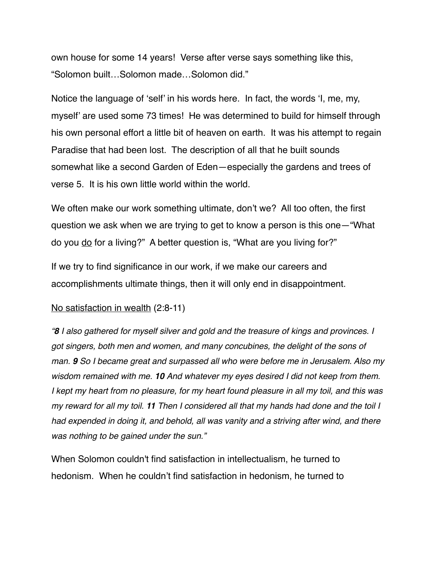own house for some 14 years! Verse after verse says something like this, "Solomon built…Solomon made…Solomon did."

Notice the language of 'self' in his words here. In fact, the words 'I, me, my, myself' are used some 73 times! He was determined to build for himself through his own personal effort a little bit of heaven on earth. It was his attempt to regain Paradise that had been lost. The description of all that he built sounds somewhat like a second Garden of Eden—especially the gardens and trees of verse 5. It is his own little world within the world.

We often make our work something ultimate, don't we? All too often, the first question we ask when we are trying to get to know a person is this one—"What do you do for a living?" A better question is, "What are you living for?"

If we try to find significance in our work, if we make our careers and accomplishments ultimate things, then it will only end in disappointment.

#### No satisfaction in wealth (2:8-11)

*"8 I also gathered for myself silver and gold and the treasure of kings and provinces. I got singers, both men and women, and many concubines, the delight of the sons of man. 9 So I became great and surpassed all who were before me in Jerusalem. Also my wisdom remained with me. 10 And whatever my eyes desired I did not keep from them. I* kept my heart from no pleasure, for my heart found pleasure in all my toil, and this was *my reward for all my toil. 11 Then I considered all that my hands had done and the toil I had expended in doing it, and behold, all was vanity and a striving after wind, and there was nothing to be gained under the sun."*

When Solomon couldn't find satisfaction in intellectualism, he turned to hedonism. When he couldn't find satisfaction in hedonism, he turned to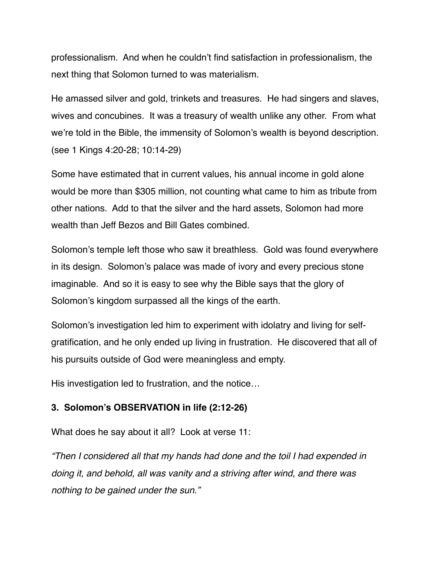professionalism. And when he couldn't find satisfaction in professionalism, the next thing that Solomon turned to was materialism.

He amassed silver and gold, trinkets and treasures. He had singers and slaves, wives and concubines. It was a treasury of wealth unlike any other. From what we're told in the Bible, the immensity of Solomon's wealth is beyond description. (see 1 Kings 4:20-28; 10:14-29)

Some have estimated that in current values, his annual income in gold alone would be more than \$305 million, not counting what came to him as tribute from other nations. Add to that the silver and the hard assets, Solomon had more wealth than Jeff Bezos and Bill Gates combined.

Solomon's temple left those who saw it breathless. Gold was found everywhere in its design. Solomon's palace was made of ivory and every precious stone imaginable. And so it is easy to see why the Bible says that the glory of Solomon's kingdom surpassed all the kings of the earth.

Solomon's investigation led him to experiment with idolatry and living for selfgratification, and he only ended up living in frustration. He discovered that all of his pursuits outside of God were meaningless and empty.

His investigation led to frustration, and the notice…

## **3. Solomon's OBSERVATION in life (2:12-26)**

What does he say about it all? Look at verse 11:

*"Then I considered all that my hands had done and the toil I had expended in doing it, and behold, all was vanity and a striving after wind, and there was nothing to be gained under the sun."*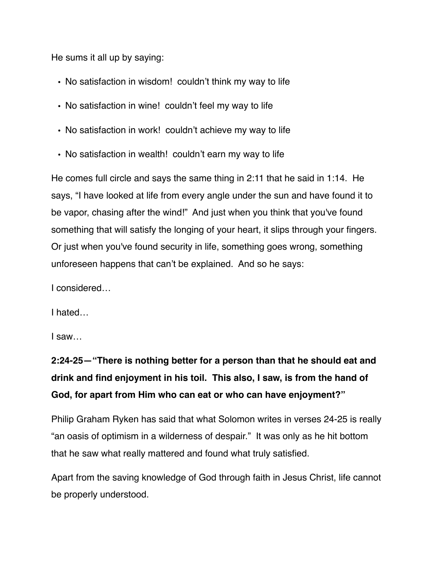He sums it all up by saying:

- No satisfaction in wisdom! couldn't think my way to life
- No satisfaction in wine! couldn't feel my way to life
- No satisfaction in work! couldn't achieve my way to life
- No satisfaction in wealth! couldn't earn my way to life

He comes full circle and says the same thing in 2:11 that he said in 1:14. He says, "I have looked at life from every angle under the sun and have found it to be vapor, chasing after the wind!" And just when you think that you've found something that will satisfy the longing of your heart, it slips through your fingers. Or just when you've found security in life, something goes wrong, something unforeseen happens that can't be explained. And so he says:

I considered…

I hated…

I saw…

# **2:24-25—"There is nothing better for a person than that he should eat and drink and find enjoyment in his toil. This also, I saw, is from the hand of God, for apart from Him who can eat or who can have enjoyment?"**

Philip Graham Ryken has said that what Solomon writes in verses 24-25 is really "an oasis of optimism in a wilderness of despair." It was only as he hit bottom that he saw what really mattered and found what truly satisfied.

Apart from the saving knowledge of God through faith in Jesus Christ, life cannot be properly understood.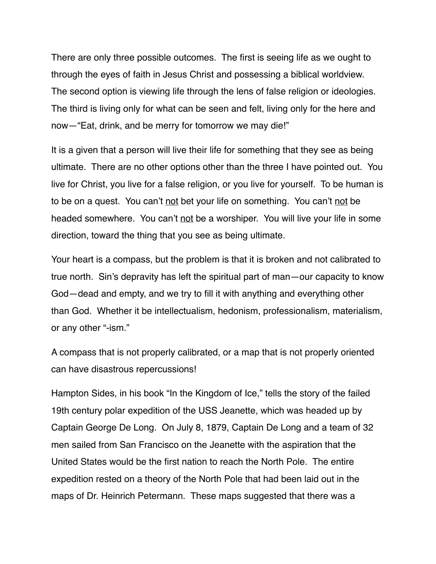There are only three possible outcomes. The first is seeing life as we ought to through the eyes of faith in Jesus Christ and possessing a biblical worldview. The second option is viewing life through the lens of false religion or ideologies. The third is living only for what can be seen and felt, living only for the here and now—"Eat, drink, and be merry for tomorrow we may die!"

It is a given that a person will live their life for something that they see as being ultimate. There are no other options other than the three I have pointed out. You live for Christ, you live for a false religion, or you live for yourself. To be human is to be on a quest. You can't not bet your life on something. You can't not be headed somewhere. You can't not be a worshiper. You will live your life in some direction, toward the thing that you see as being ultimate.

Your heart is a compass, but the problem is that it is broken and not calibrated to true north. Sin's depravity has left the spiritual part of man—our capacity to know God—dead and empty, and we try to fill it with anything and everything other than God. Whether it be intellectualism, hedonism, professionalism, materialism, or any other "-ism."

A compass that is not properly calibrated, or a map that is not properly oriented can have disastrous repercussions!

Hampton Sides, in his book "In the Kingdom of Ice," tells the story of the failed 19th century polar expedition of the USS Jeanette, which was headed up by Captain George De Long. On July 8, 1879, Captain De Long and a team of 32 men sailed from San Francisco on the Jeanette with the aspiration that the United States would be the first nation to reach the North Pole. The entire expedition rested on a theory of the North Pole that had been laid out in the maps of Dr. Heinrich Petermann. These maps suggested that there was a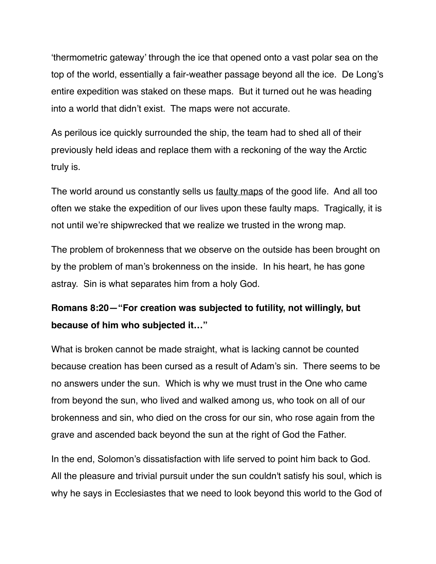'thermometric gateway' through the ice that opened onto a vast polar sea on the top of the world, essentially a fair-weather passage beyond all the ice. De Long's entire expedition was staked on these maps. But it turned out he was heading into a world that didn't exist. The maps were not accurate.

As perilous ice quickly surrounded the ship, the team had to shed all of their previously held ideas and replace them with a reckoning of the way the Arctic truly is.

The world around us constantly sells us faulty maps of the good life. And all too often we stake the expedition of our lives upon these faulty maps. Tragically, it is not until we're shipwrecked that we realize we trusted in the wrong map.

The problem of brokenness that we observe on the outside has been brought on by the problem of man's brokenness on the inside. In his heart, he has gone astray. Sin is what separates him from a holy God.

## **Romans 8:20—"For creation was subjected to futility, not willingly, but because of him who subjected it…"**

What is broken cannot be made straight, what is lacking cannot be counted because creation has been cursed as a result of Adam's sin. There seems to be no answers under the sun. Which is why we must trust in the One who came from beyond the sun, who lived and walked among us, who took on all of our brokenness and sin, who died on the cross for our sin, who rose again from the grave and ascended back beyond the sun at the right of God the Father.

In the end, Solomon's dissatisfaction with life served to point him back to God. All the pleasure and trivial pursuit under the sun couldn't satisfy his soul, which is why he says in Ecclesiastes that we need to look beyond this world to the God of